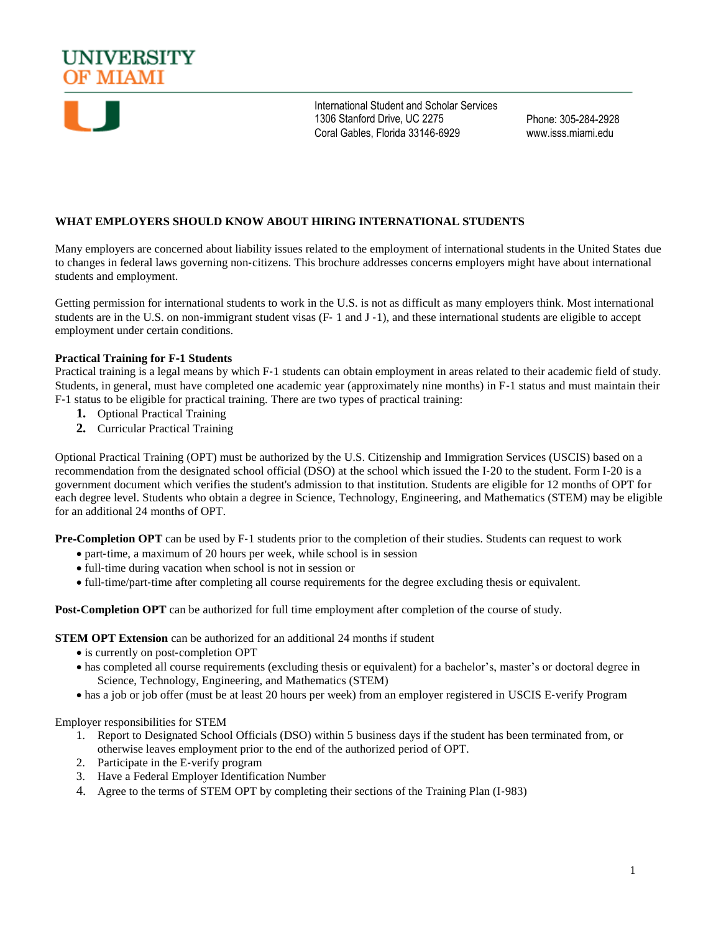



International Student and Scholar Services 1306 Stanford Drive, UC 2275 Coral Gables, Florida 33146-6929

Phone: 305-284-2928 www.isss.miami.edu

# **WHAT EMPLOYERS SHOULD KNOW ABOUT HIRING INTERNATIONAL STUDENTS**

Many employers are concerned about liability issues related to the employment of international students in the United States due to changes in federal laws governing non‐citizens. This brochure addresses concerns employers might have about international students and employment.

Getting permission for international students to work in the U.S. is not as difficult as many employers think. Most international students are in the U.S. on non-immigrant student visas (F- 1 and J-1), and these international students are eligible to accept employment under certain conditions.

## **Practical Training for F**‐**1 Students**

Practical training is a legal means by which F‐1 students can obtain employment in areas related to their academic field of study. Students, in general, must have completed one academic year (approximately nine months) in F‐1 status and must maintain their F‐1 status to be eligible for practical training. There are two types of practical training:

- **1.** Optional Practical Training
- **2.** Curricular Practical Training

Optional Practical Training (OPT) must be authorized by the U.S. Citizenship and Immigration Services (USCIS) based on a recommendation from the designated school official (DSO) at the school which issued the I‐20 to the student. Form I‐20 is a government document which verifies the student's admission to that institution. Students are eligible for 12 months of OPT for each degree level. Students who obtain a degree in Science, Technology, Engineering, and Mathematics (STEM) may be eligible for an additional 24 months of OPT.

**Pre-Completion OPT** can be used by F-1 students prior to the completion of their studies. Students can request to work

- part-time, a maximum of 20 hours per week, while school is in session
- full-time during vacation when school is not in session or
- full-time/part-time after completing all course requirements for the degree excluding thesis or equivalent.

**Post-Completion OPT** can be authorized for full time employment after completion of the course of study.

**STEM OPT Extension** can be authorized for an additional 24 months if student

- is currently on post-completion OPT
- has completed all course requirements (excluding thesis or equivalent) for a bachelor's, master's or doctoral degree in Science, Technology, Engineering, and Mathematics (STEM)
- has a job or job offer (must be at least 20 hours per week) from an employer registered in USCIS E‐verify Program

Employer responsibilities for STEM

- 1. Report to Designated School Officials (DSO) within 5 business days if the student has been terminated from, or otherwise leaves employment prior to the end of the authorized period of OPT.
- 2. Participate in the E‐verify program
- 3. Have a Federal Employer Identification Number
- 4. Agree to the terms of STEM OPT by completing their sections of the Training Plan (I‐983)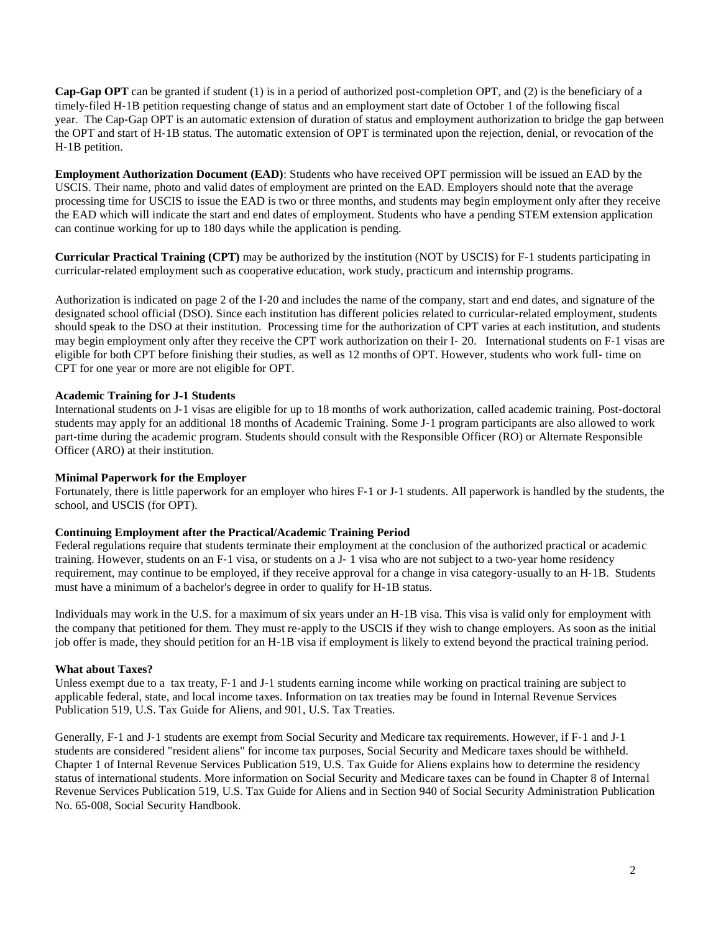**Cap**‐**Gap OPT** can be granted if student (1) is in a period of authorized post‐completion OPT, and (2) is the beneficiary of a timely‐filed H‐1B petition requesting change of status and an employment start date of October 1 of the following fiscal year. The Cap‐Gap OPT is an automatic extension of duration of status and employment authorization to bridge the gap between the OPT and start of H‐1B status. The automatic extension of OPT is terminated upon the rejection, denial, or revocation of the H‐1B petition.

**Employment Authorization Document (EAD)**: Students who have received OPT permission will be issued an EAD by the USCIS. Their name, photo and valid dates of employment are printed on the EAD. Employers should note that the average processing time for USCIS to issue the EAD is two or three months, and students may begin employment only after they receive the EAD which will indicate the start and end dates of employment. Students who have a pending STEM extension application can continue working for up to 180 days while the application is pending.

**Curricular Practical Training (CPT)** may be authorized by the institution (NOT by USCIS) for F‐1 students participating in curricular‐related employment such as cooperative education, work study, practicum and internship programs.

Authorization is indicated on page 2 of the I‐20 and includes the name of the company, start and end dates, and signature of the designated school official (DSO). Since each institution has different policies related to curricular-related employment, students should speak to the DSO at their institution. Processing time for the authorization of CPT varies at each institution, and students may begin employment only after they receive the CPT work authorization on their I‐ 20. International students on F‐1 visas are eligible for both CPT before finishing their studies, as well as 12 months of OPT. However, students who work full‐ time on CPT for one year or more are not eligible for OPT.

## **Academic Training for J**‐**1 Students**

International students on J-1 visas are eligible for up to 18 months of work authorization, called academic training. Post-doctoral students may apply for an additional 18 months of Academic Training. Some J‐1 program participants are also allowed to work part-time during the academic program. Students should consult with the Responsible Officer (RO) or Alternate Responsible Officer (ARO) at their institution.

#### **Minimal Paperwork for the Employer**

Fortunately, there is little paperwork for an employer who hires F-1 or J-1 students. All paperwork is handled by the students, the school, and USCIS (for OPT).

## **Continuing Employment after the Practical/Academic Training Period**

Federal regulations require that students terminate their employment at the conclusion of the authorized practical or academic training. However, students on an F‐1 visa, or students on a J‐ 1 visa who are not subject to a two‐year home residency requirement, may continue to be employed, if they receive approval for a change in visa category-usually to an H-1B. Students must have a minimum of a bachelor's degree in order to qualify for H‐1B status.

Individuals may work in the U.S. for a maximum of six years under an H‐1B visa. This visa is valid only for employment with the company that petitioned for them. They must re‐apply to the USCIS if they wish to change employers. As soon as the initial job offer is made, they should petition for an H‐1B visa if employment is likely to extend beyond the practical training period.

#### **What about Taxes?**

Unless exempt due to a tax treaty, F-1 and J-1 students earning income while working on practical training are subject to applicable federal, state, and local income taxes. Information on tax treaties may be found in Internal Revenue Services Publication 519, U.S. Tax Guide for Aliens, and 901, U.S. Tax Treaties.

Generally, F-1 and J-1 students are exempt from Social Security and Medicare tax requirements. However, if F-1 and J-1 students are considered "resident aliens" for income tax purposes, Social Security and Medicare taxes should be withheld. Chapter 1 of Internal Revenue Services Publication 519, U.S. Tax Guide for Aliens explains how to determine the residency status of international students. More information on Social Security and Medicare taxes can be found in Chapter 8 of Internal Revenue Services Publication 519, U.S. Tax Guide for Aliens and in Section 940 of Social Security Administration Publication No. 65‐008, Social Security Handbook.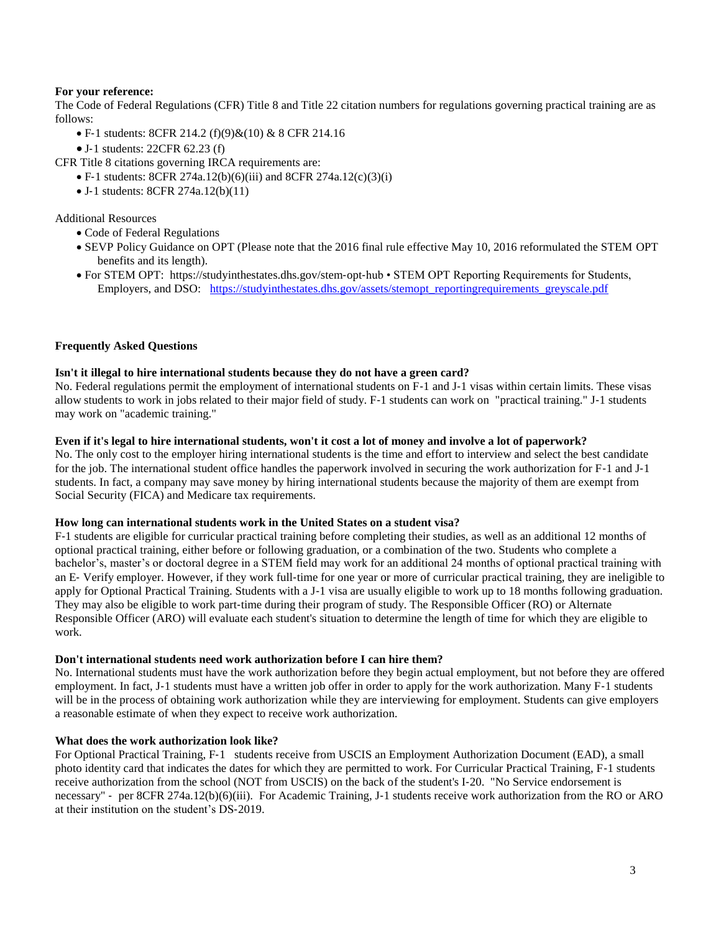## **For your reference:**

The Code of Federal Regulations (CFR) Title 8 and Title 22 citation numbers for regulations governing practical training are as follows:

- F-1 students: 8CFR 214.2 (f)(9)&(10) & 8 CFR 214.16
- J‐1 students: 22CFR 62.23 (f)

CFR Title 8 citations governing IRCA requirements are:

- F-1 students: 8CFR 274a.12(b)(6)(iii) and 8CFR 274a.12(c)(3)(i)
- J-1 students: 8CFR 274a.12(b)(11)

Additional Resources

- Code of Federal Regulations
- SEVP Policy Guidance on OPT (Please note that the 2016 final rule effective May 10, 2016 reformulated the STEM OPT benefits and its length).
- For STEM OPT: https://studyinthestates.dhs.gov/stem-opt-hub STEM OPT Reporting Requirements for Students, Employers, and DSO: [https://studyinthestates.dhs.gov/assets/stemopt\\_reportingrequirements\\_greyscale.pdf](https://studyinthestates.dhs.gov/assets/stemopt_reportingrequirements_greyscale.pdf)

#### **Frequently Asked Questions**

#### **Isn't it illegal to hire international students because they do not have a green card?**

No. Federal regulations permit the employment of international students on F‐1 and J‐1 visas within certain limits. These visas allow students to work in jobs related to their major field of study. F‐1 students can work on "practical training." J‐1 students may work on "academic training."

#### **Even if it's legal to hire international students, won't it cost a lot of money and involve a lot of paperwork?**

No. The only cost to the employer hiring international students is the time and effort to interview and select the best candidate for the job. The international student office handles the paperwork involved in securing the work authorization for F-1 and J-1 students. In fact, a company may save money by hiring international students because the majority of them are exempt from Social Security (FICA) and Medicare tax requirements.

#### **How long can international students work in the United States on a student visa?**

F‐1 students are eligible for curricular practical training before completing their studies, as well as an additional 12 months of optional practical training, either before or following graduation, or a combination of the two. Students who complete a bachelor's, master's or doctoral degree in a STEM field may work for an additional 24 months of optional practical training with an E‐ Verify employer. However, if they work full‐time for one year or more of curricular practical training, they are ineligible to apply for Optional Practical Training. Students with a J-1 visa are usually eligible to work up to 18 months following graduation. They may also be eligible to work part‐time during their program of study. The Responsible Officer (RO) or Alternate Responsible Officer (ARO) will evaluate each student's situation to determine the length of time for which they are eligible to work.

#### **Don't international students need work authorization before I can hire them?**

No. International students must have the work authorization before they begin actual employment, but not before they are offered employment. In fact, J-1 students must have a written job offer in order to apply for the work authorization. Many F-1 students will be in the process of obtaining work authorization while they are interviewing for employment. Students can give employers a reasonable estimate of when they expect to receive work authorization.

## **What does the work authorization look like?**

For Optional Practical Training, F‐1 students receive from USCIS an Employment Authorization Document (EAD), a small photo identity card that indicates the dates for which they are permitted to work. For Curricular Practical Training, F‐1 students receive authorization from the school (NOT from USCIS) on the back of the student's I‐20. "No Service endorsement is necessary" ‐ per 8CFR 274a.12(b)(6)(iii). For Academic Training, J‐1 students receive work authorization from the RO or ARO at their institution on the student's DS‐2019.